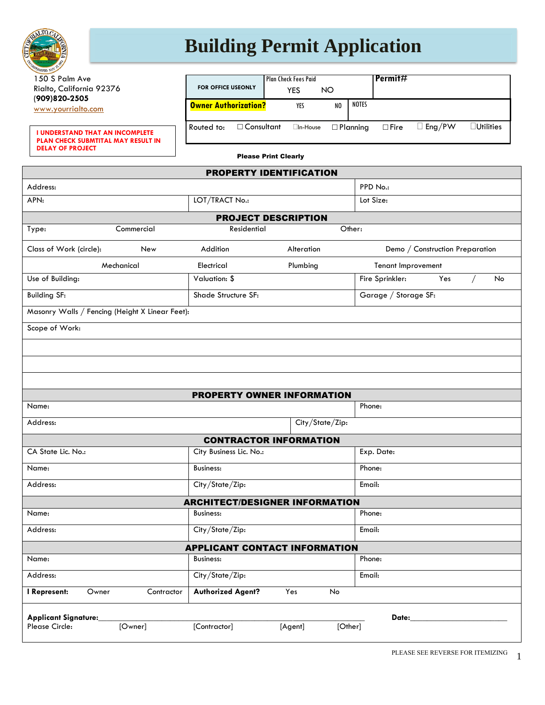

## **Building Permit Application**

| MANIVED NON. Y.                                                              |            |                                                          |                             |                 |    |                 |                      |                                 |     |  |                  |
|------------------------------------------------------------------------------|------------|----------------------------------------------------------|-----------------------------|-----------------|----|-----------------|----------------------|---------------------------------|-----|--|------------------|
| 150 S Palm Ave                                                               |            |                                                          | <b>Plan Check Fees Paid</b> |                 |    |                 |                      | Permit#                         |     |  |                  |
| Rialto, California 92376                                                     |            | FOR OFFICE USEONLY                                       | <b>YES</b><br><b>NO</b>     |                 |    |                 |                      |                                 |     |  |                  |
| (909)820-2505<br>www.yourrialto.com                                          |            | <b>Owner Authorization?</b>                              | YES                         |                 | NO | <b>NOTES</b>    |                      |                                 |     |  |                  |
| <b>I UNDERSTAND THAT AN INCOMPLETE</b><br>PLAN CHECK SUBMTITAL MAY RESULT IN |            | $\Box$ Consultant<br>Routed to:                          | $\Box$ In-House             |                 |    | $\Box$ Planning | $\Box$ Fire          | $\Box$ Eng/PW                   |     |  | $\Box$ Utilities |
| <b>DELAY OF PROJECT</b>                                                      |            |                                                          | <b>Please Print Clearly</b> |                 |    |                 |                      |                                 |     |  |                  |
|                                                                              |            | <b>PROPERTY IDENTIFICATION</b>                           |                             |                 |    |                 |                      |                                 |     |  |                  |
| Address:                                                                     |            |                                                          |                             |                 |    | PPD No.:        |                      |                                 |     |  |                  |
| APN:                                                                         |            | LOT/TRACT No.:                                           |                             |                 |    |                 | Lot Size:            |                                 |     |  |                  |
|                                                                              |            | <b>PROJECT DESCRIPTION</b>                               |                             |                 |    |                 |                      |                                 |     |  |                  |
| Type:                                                                        | Commercial | Residential                                              |                             |                 |    | Other:          |                      |                                 |     |  |                  |
| Class of Work (circle):                                                      | New        | Addition                                                 |                             | Alteration      |    |                 |                      | Demo / Construction Preparation |     |  |                  |
| Mechanical                                                                   |            | Electrical                                               |                             | Plumbing        |    |                 | Tenant Improvement   |                                 |     |  |                  |
| Use of Building:                                                             |            | Valuation: \$                                            |                             |                 |    |                 | Fire Sprinkler:      |                                 | Yes |  | No               |
| <b>Building SF:</b>                                                          |            | Shade Structure SF:                                      |                             |                 |    |                 | Garage / Storage SF: |                                 |     |  |                  |
|                                                                              |            |                                                          |                             |                 |    |                 |                      |                                 |     |  |                  |
|                                                                              |            |                                                          |                             |                 |    |                 |                      |                                 |     |  |                  |
| Masonry Walls / Fencing (Height X Linear Feet):<br>Scope of Work:            |            |                                                          |                             |                 |    |                 |                      |                                 |     |  |                  |
|                                                                              |            |                                                          |                             |                 |    |                 |                      |                                 |     |  |                  |
|                                                                              |            |                                                          |                             |                 |    |                 |                      |                                 |     |  |                  |
|                                                                              |            |                                                          |                             |                 |    |                 |                      |                                 |     |  |                  |
|                                                                              |            |                                                          |                             |                 |    |                 |                      |                                 |     |  |                  |
|                                                                              |            | <b>PROPERTY OWNER INFORMATION</b>                        |                             |                 |    |                 |                      |                                 |     |  |                  |
|                                                                              |            |                                                          |                             |                 |    | Phone:          |                      |                                 |     |  |                  |
|                                                                              |            |                                                          |                             | City/State/Zip: |    |                 |                      |                                 |     |  |                  |
|                                                                              |            | <b>CONTRACTOR INFORMATION</b>                            |                             |                 |    |                 |                      |                                 |     |  |                  |
|                                                                              |            | City Business Lic. No.:                                  |                             |                 |    |                 | Exp. Date:           |                                 |     |  |                  |
|                                                                              |            | Business:                                                |                             |                 |    | Phone:          |                      |                                 |     |  |                  |
|                                                                              |            | City/State/Zip:                                          |                             |                 |    | Email:          |                      |                                 |     |  |                  |
| Name:<br>Address:<br>CA State Lic. No.:<br>Name:<br>Address:                 |            | <b>ARCHITECT/DESIGNER INFORMATION</b>                    |                             |                 |    |                 |                      |                                 |     |  |                  |
| Name:                                                                        |            | <b>Business:</b>                                         |                             |                 |    | Phone:          |                      |                                 |     |  |                  |
|                                                                              |            | City/State/Zip:                                          |                             |                 |    | Email:          |                      |                                 |     |  |                  |
|                                                                              |            |                                                          |                             |                 |    |                 |                      |                                 |     |  |                  |
|                                                                              |            | <b>APPLICANT CONTACT INFORMATION</b><br><b>Business:</b> |                             |                 |    | Phone:          |                      |                                 |     |  |                  |
|                                                                              |            | City/State/Zip:                                          |                             |                 |    | Email:          |                      |                                 |     |  |                  |
| Address:<br>Name:<br>Address:<br>I Represent:<br>Owner                       | Contractor | <b>Authorized Agent?</b>                                 | Yes                         | No              |    |                 |                      |                                 |     |  |                  |
|                                                                              |            |                                                          |                             |                 |    |                 |                      |                                 |     |  |                  |